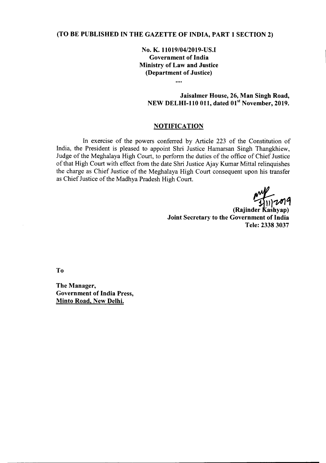## (TO BE PUBLISHED IN THE GAZETTE OF INDIA, PART 1 SECTION 2)

No. K. 11019/04/2019-US.I Government of India Ministry of Law and Justice (Department of Justice)

 $\cdots$ 

# Jaisalmer House, 26, Man Singh Road, NEW DELHI-110 011, dated 01<sup>st</sup> November, 2019.

### **NOTIFICATION**

In exercise of the powers conferred by Article 223 of the Constitution of India, the President is pleased to appoint Shri Justice Hamarsan Singh Thangkhiew, Judge of the Meghalaya High Court, to perform the duties of the office of Chief Justice of that High Court with effect from the date Shri Justice Ajay Kumar Mittal relinquishes the charge as Chief Justice of the Meghalaya High Court consequent upon his transfer as Chief Justice of the Madhya Pradesh High Court.

(Rajinder Kashyap) Joint Secretary to the Government of India Tele: 2338 3037

To

The Manager, Government of India Press, Minto Road, New Delhi.